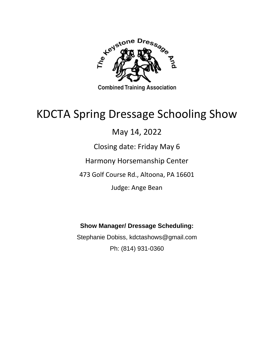

**Combined Training Association** 

# KDCTA Spring Dressage Schooling Show

## May 14, 2022

### Closing date: Friday May 6

### Harmony Horsemanship Center

### 473 Golf Course Rd., Altoona, PA 16601

### Judge: Ange Bean

### **Show Manager/ Dressage Scheduling:**

Stephanie Dobiss, kdctashows@gmail.com Ph: (814) 931-0360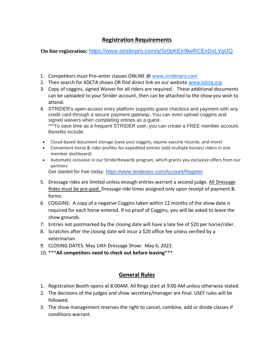### **Registration Requirements**

**On line registration:** <https://www.striderpro.com/a/Sr0pKEIr9keRCExDxLVgUQ>

- 1. Competitors must Pre-enter classes ONLINE @ [www.striderpro.com](http://www.striderpro.com/)
- 2. Then search for KDCTA shows OR find direct link on our website [www.kdcta.org](http://www.kdcta.org/)
- 3. Copy of coggins, signed Waiver for all riders are required. These additional documents can be uploaded to your Strider account, then can be attached to the show you wish to attend.
- 4. STRIDER's open-access entry platform supports guest checkout and payment with any credit card through a secure payment gateway. You can even upload coggins and signed waivers when completing entries as a guest. \*\*\*To save time as a frequent STRIDER user, you can create a FREE member account. Benefits include:
- Cloud-based document storage (save your coggins, equine vaccine records, and more)
- Convenient horse & rider profiles for expedited entries (add multiple horses/ riders in one member dashboard)
- Automatic inclusion in our StriderRewards program, which grants you exclusive offers from our partners Get started for free today: <https://www.striderpro.com/Account/Register>
- 5. Dressage rides are limited unless enough entries warrant a second judge. All Dressage Rides must be pre-paid. Dressage ride times assigned only upon receipt of payment & forms.
- 6. COGGINS: A copy of a negative Coggins taken within 12 months of the show date is required for each horse entered. If no proof of Coggins, you will be asked to leave the show grounds.
- 7. Entries not postmarked by the closing date will have a late fee of \$20 per horse/rider.
- 8. Scratches after the closing date will incur a \$20 office fee unless verified by a veterinarian.
- 9. CLOSING DATES: May 14th Dressage Show: May 6, 2022.
- 10. \*\*\***All competitors need to check out before leaving**\*\*\*

#### **General Rules**

- 1. Registration Booth opens at 8:00AM. All Rings start at 9:00 AM unless otherwise stated.
- 2. The decisions of the judges and show secretary/manager are final. USEF rules will be followed.
- 3. The show management reserves the right to cancel, combine, add or divide classes if conditions warrant.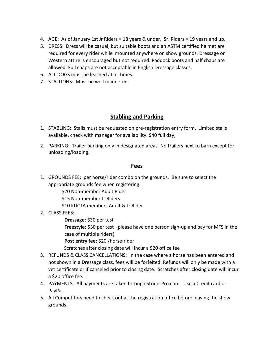- 4. AGE: As of January 1st Jr Riders = 18 years & under, Sr. Riders = 19 years and up.
- 5. DRESS: Dress will be casual, but suitable boots and an ASTM certified helmet are required for every rider while mounted anywhere on show grounds. Dressage or Western attire is encouraged but not required. Paddock boots and half chaps are allowed. Full chaps are not acceptable in English Dressage classes.
- 6. ALL DOGS must be leashed at all times.
- 7. STALLIONS: Must be well mannered.

#### **Stabling and Parking**

- 1. STABLING: Stalls must be requested on pre-registration entry form. Limited stalls available, check with manager for availability. \$40 full day,
- 2. PARKING: Trailer parking only in designated areas. No trailers next to barn except for unloading/loading.

#### **Fees**

1. GROUNDS FEE: per horse/rider combo on the grounds. Be sure to select the appropriate grounds fee when registering.

\$20 Non-member Adult Rider

\$15 Non-member Jr Riders

\$10 KDCTA members Adult & Jr Rider

2. CLASS FEES:

**Dressage:** \$30 per test

**Freestyle:** \$30 per test (please have one person sign-up and pay for MFS in the case of multiple riders)

**Post entry fee:** \$20 /horse-rider

Scratches after closing date will incur a \$20 office fee

- 3. REFUNDS & CLASS CANCELLATIONS: In the case where a horse has been entered and not shown in a Dressage class, fees will be forfeited. Refunds will only be made with a vet certificate or if canceled prior to closing date. Scratches after closing date will incur a \$20 office fee.
- 4. PAYMENTS: All payments are taken through StriderPro.com. Use a Credit card or PayPal.
- 5. All Competitors need to check out at the registration office before leaving the show grounds.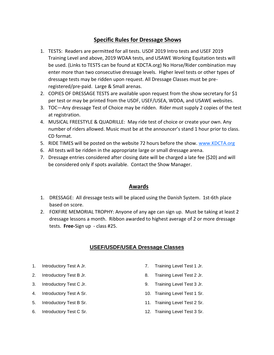#### **Specific Rules for Dressage Shows**

- 1. TESTS: Readers are permitted for all tests. USDF 2019 Intro tests and USEF 2019 Training Level and above, 2019 WDAA tests, and USAWE Working Equitation tests will be used. (Links to TESTS can be found at KDCTA.org) No Horse/Rider combination may enter more than two consecutive dressage levels. Higher level tests or other types of dressage tests may be ridden upon request. All Dressage Classes must be preregistered/pre-paid. Large & Small arenas.
- 2. COPIES OF DRESSAGE TESTS are available upon request from the show secretary for \$1 per test or may be printed from the USDF, USEF/USEA, WDDA, and USAWE websites.
- 3. TOC—Any dressage Test of Choice may be ridden. Rider must supply 2 copies of the test at registration.
- 4. MUSICAL FREESTYLE & QUADRILLE: May ride test of choice or create your own. Any number of riders allowed. Music must be at the announcer's stand 1 hour prior to class. CD format.
- 5. RIDE TIMES will be posted on the website 72 hours before the show. [www.KDCTA.org](http://www.kdcta.org/)
- 6. All tests will be ridden in the appropriate large or small dressage arena.
- 7. Dressage entries considered after closing date will be charged a late fee (\$20) and will be considered only if spots available. Contact the Show Manager.

#### **Awards**

- 1. DRESSAGE: All dressage tests will be placed using the Danish System. 1st-6th place based on score.
- 2. FOXFIRE MEMORIAL TROPHY: Anyone of any age can sign up. Must be taking at least 2 dressage lessons a month. Ribbon awarded to highest average of 2 or more dressage tests. **Free-**Sign up - class #25.

#### **USEF/USDF/USEA Dressage Classes**

- 1. Introductory Test A Jr.
- 2. Introductory Test B Jr.
- 3. Introductory Test C Jr.
- 4. Introductory Test A Sr.
- 5. Introductory Test B Sr.
- 6. Introductory Test C Sr.
- 7. Training Level Test 1 Jr.
- 8. Training Level Test 2 Jr.
- 9. Training Level Test 3 Jr.
- 10. Training Level Test 1 Sr.
- 11. Training Level Test 2 Sr.
- 12. Training Level Test 3 Sr.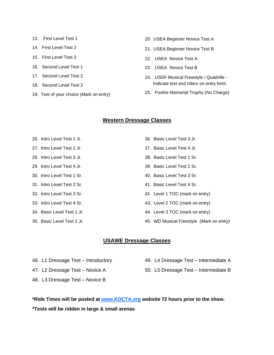- 13. First Level Test 1
- 14. First Level Test 2
- 15. First Level Test 3
- 16. Second Level Test 1
- 17. Second Level Test 2
- 18. Second Level Test 3
- 19. Test of your choice *(Mark on entry)*
- 20. USEA Beginner Novice Test A
- 21. USEA Beginner Novice Test B
- 22. USEA Novice Test A
- 23. USEA Novice Test B
- 24. USDF Musical Freestyle / Quadrille Indicate test and riders on entry form.
- 25. Foxfire Memorial Trophy (*No Charge*)

#### **Western Dressage Classes**

- 26. Intro Level Test 1 Jr.
- 27. Intro Level Test 2 Jr.
- 28. Intro Level Test 3 Jr.
- 29. Intro Level Test 4 Jr.
- 30. Intro Level Test 1 Sr.
- 31. Intro Level Test 2 Sr.
- 32. Intro Level Test 3 Sr.
- 33. Intro Level Test 4 Sr.
- 34. Basic Level Test 1 Jr.
- 35. Basic Level Test 2 Jr.
- 36. Basic Level Test 3 Jr.
- 37. Basic Level Test 4 Jr.
- 38. Basic Level Test 1 Sr.
- 39. Basic Level Test 2 Sr.
- 40. Basic Level Test 3 Sr.
- 41. Basic Level Test 4 Sr.
- 42. Level 1 TOC (mark on entry)
- 43. Level 2 TOC (mark on entry)
- 44. Level 3 TOC (mark on entry)
- 45. WD Musical Freestyle *(Mark on entry)*

#### **USAWE Dressage Classes**

- 46. L1 Dressage Test Introductory
- 49. L4 Dressage Test Intermediate A
- 50. L5 Dressage Test Intermediate B
- 48. L3 Dressage Test Novice B

47. L2 Dressage Test – Novice A

**\*Ride Times will be posted at [www.KDCTA.org](http://www.kdcta.org/) website 72 hours prior to the show. \*Tests will be ridden in large & small arenas**